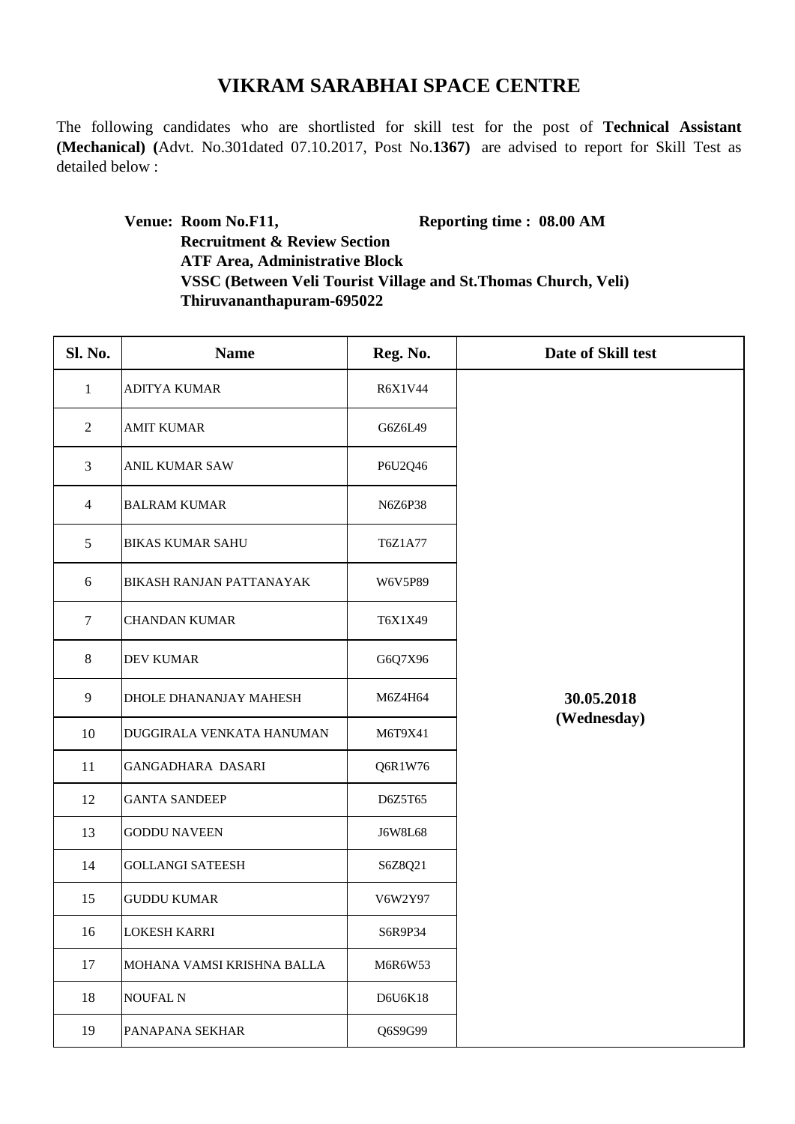## **VIKRAM SARABHAI SPACE CENTRE**

The following candidates who are shortlisted for skill test for the post of **Technical Assistant (Mechanical) (**Advt. No.301dated 07.10.2017, Post No.**1367)** are advised to report for Skill Test as detailed below :

> **Venue: Room No.F11, Reporting time : 08.00 AM Recruitment & Review Section ATF Area, Administrative Block VSSC (Between Veli Tourist Village and St.Thomas Church, Veli) Thiruvananthapuram-695022**

| Sl. No.        | <b>Name</b>                | Reg. No. | Date of Skill test        |
|----------------|----------------------------|----------|---------------------------|
| $\mathbf{1}$   | <b>ADITYA KUMAR</b>        | R6X1V44  | 30.05.2018<br>(Wednesday) |
| $\overline{2}$ | <b>AMIT KUMAR</b>          | G6Z6L49  |                           |
| $\overline{3}$ | <b>ANIL KUMAR SAW</b>      | P6U2Q46  |                           |
| $\overline{4}$ | <b>BALRAM KUMAR</b>        | N6Z6P38  |                           |
| 5              | <b>BIKAS KUMAR SAHU</b>    | T6Z1A77  |                           |
| 6              | BIKASH RANJAN PATTANAYAK   | W6V5P89  |                           |
| $\tau$         | <b>CHANDAN KUMAR</b>       | T6X1X49  |                           |
| 8              | <b>DEV KUMAR</b>           | G6Q7X96  |                           |
| 9              | DHOLE DHANANJAY MAHESH     | M6Z4H64  |                           |
| 10             | DUGGIRALA VENKATA HANUMAN  | M6T9X41  |                           |
| 11             | GANGADHARA DASARI          | Q6R1W76  |                           |
| 12             | <b>GANTA SANDEEP</b>       | D6Z5T65  |                           |
| 13             | <b>GODDU NAVEEN</b>        | J6W8L68  |                           |
| 14             | <b>GOLLANGI SATEESH</b>    | S6Z8Q21  |                           |
| 15             | <b>GUDDU KUMAR</b>         | V6W2Y97  |                           |
| 16             | <b>LOKESH KARRI</b>        | S6R9P34  |                           |
| 17             | MOHANA VAMSI KRISHNA BALLA | M6R6W53  |                           |
| 18             | NOUFAL N                   | D6U6K18  |                           |
| 19             | PANAPANA SEKHAR            | Q6S9G99  |                           |